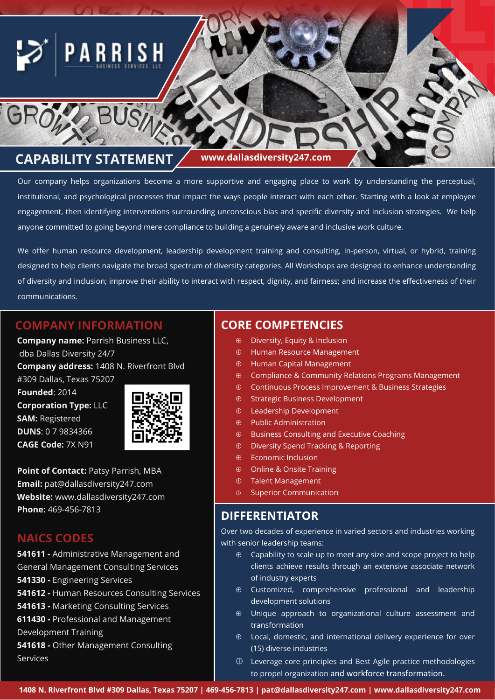

Our company helps organizations become a more supportive and engaging place to work by understanding the perceptual, institutional, and psychological processes that impact the ways people interact with each other. Starting with a look at employee engagement, then identifying interventions surrounding unconscious bias and specific diversity and inclusion strategies. We help anyone committed to going beyond mere compliance to building a genuinely aware and inclusive work culture.

We offer human resource development, leadership development training and consulting, in-person, virtual, or hybrid, training designed to help clients navigate the broad spectrum of diversity categories. All Workshops are designed to enhance understanding of diversity and inclusion; improve their ability to interact with respect, dignity, and fairness; and increase the effectiveness of their communications.

### **COMPANY INFORMATION**

**Company name:** Parrish Business LLC, dba Dallas Diversity 24/7 **Company address:** 1408 N. Riverfront Blvd

#309 Dallas, Texas 75207 **Founded**: 2014 **Corporation Type:** LLC **SAM:** Registered **DUNS**: 0 7 9834366 **CAGE Code:** 7X N91



**Point of Contact:** Patsy Parrish, MBA **Email:** pat@dallasdiversity247.com **Website:** www.dallasdiversity247.com **Phone:** 469-456-7813

### **NAICS CODES**

**541611 -** Administrative Management and General Management Consulting Services **541330 -** Engineering Services **541612 -** Human Resources Consulting Services **541613 -** Marketing Consulting Services **611430 -** Professional and Management Development Training **541618 -** Other Management Consulting Services

### **CORE COMPETENCIES**

- Diversity, Equity & Inclusion
- Human Resource Management
- Human Capital Management
- Compliance & Community Relations Programs Management
- Continuous Process Improvement & Business Strategies
- $\oplus$  Strategic Business Development
- Leadership Development
- $\oplus$  Public Administration
- $\oplus$  Business Consulting and Executive Coaching
- Diversity Spend Tracking & Reporting
- $\oplus$  Economic Inclusion
- $\oplus$  Online & Onsite Training
- Talent Management
- $\oplus$  Superior Communication

### **DIFFERENTIATOR**

Over two decades of experience in varied sectors and industries working with senior leadership teams:

- $\oplus$  Capability to scale up to meet any size and scope project to help clients achieve results through an extensive associate network of industry experts
- $\oplus$  Customized, comprehensive professional and leadership development solutions
- Unique approach to organizational culture assessment and transformation
- $\oplus$  Local, domestic, and international delivery experience for over (15) diverse industries
- $\oplus$  Leverage core principles and Best Agile practice methodologies to propel organization and workforce transformation.

**1408 N. Riverfront Blvd #309 Dallas, Texas 75207 | 469-456-7813 | pat@dallasdiversity247.com | www.dallasdiversity247.com**